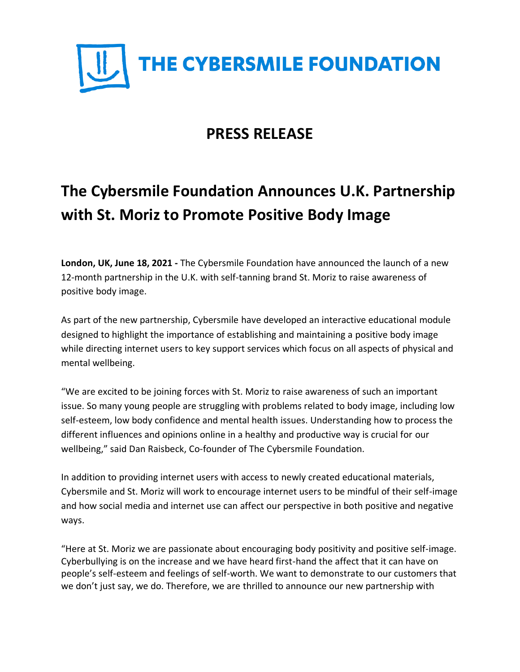

## **PRESS RELEASE**

## **The Cybersmile Foundation Announces U.K. Partnership with St. Moriz to Promote Positive Body Image**

**London, UK, June 18, 2021 -** The Cybersmile Foundation have announced the launch of a new 12-month partnership in the U.K. with self-tanning brand St. Moriz to raise awareness of positive body image.

As part of the new partnership, Cybersmile have developed an interactive educational module designed to highlight the importance of establishing and maintaining a positive body image while directing internet users to key support services which focus on all aspects of physical and mental wellbeing.

"We are excited to be joining forces with St. Moriz to raise awareness of such an important issue. So many young people are struggling with problems related to body image, including low self-esteem, low body confidence and mental health issues. Understanding how to process the different influences and opinions online in a healthy and productive way is crucial for our wellbeing," said Dan Raisbeck, Co-founder of The Cybersmile Foundation.

In addition to providing internet users with access to newly created educational materials, Cybersmile and St. Moriz will work to encourage internet users to be mindful of their self-image and how social media and internet use can affect our perspective in both positive and negative ways.

"Here at St. Moriz we are passionate about encouraging body positivity and positive self-image. Cyberbullying is on the increase and we have heard first-hand the affect that it can have on people's self-esteem and feelings of self-worth. We want to demonstrate to our customers that we don't just say, we do. Therefore, we are thrilled to announce our new partnership with